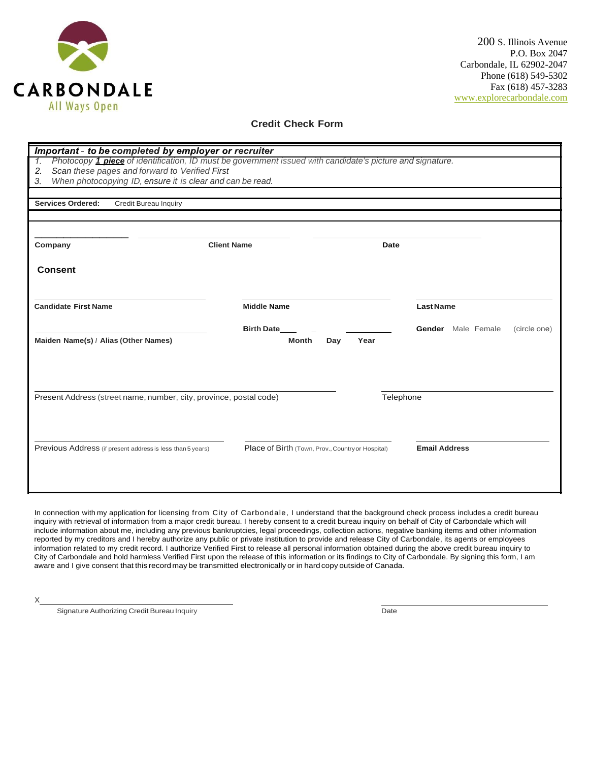

## **Credit Check Form**

| Important - to be completed by employer or recruiter                                                            |                    |                                                   |                           |                      |  |
|-----------------------------------------------------------------------------------------------------------------|--------------------|---------------------------------------------------|---------------------------|----------------------|--|
| Photocopy 1 piece of identification, ID must be government issued with candidate's picture and signature.<br>1. |                    |                                                   |                           |                      |  |
| 2.<br>Scan these pages and forward to Verified First                                                            |                    |                                                   |                           |                      |  |
| 3.<br>When photocopying ID, ensure it is clear and can be read.                                                 |                    |                                                   |                           |                      |  |
|                                                                                                                 |                    |                                                   |                           |                      |  |
| <b>Services Ordered:</b><br><b>Credit Bureau Inquiry</b>                                                        |                    |                                                   |                           |                      |  |
|                                                                                                                 |                    |                                                   |                           |                      |  |
|                                                                                                                 |                    |                                                   |                           |                      |  |
| Company                                                                                                         | <b>Client Name</b> | Date                                              |                           |                      |  |
|                                                                                                                 |                    |                                                   |                           |                      |  |
| <b>Consent</b>                                                                                                  |                    |                                                   |                           |                      |  |
|                                                                                                                 |                    |                                                   |                           |                      |  |
| <b>Candidate First Name</b>                                                                                     | <b>Middle Name</b> |                                                   | <b>Last Name</b>          |                      |  |
|                                                                                                                 |                    |                                                   |                           |                      |  |
|                                                                                                                 | <b>Birth Date</b>  |                                                   | <b>Gender</b> Male Female | (circle one)         |  |
| Maiden Name(s) / Alias (Other Names)                                                                            | <b>Month</b>       | Day<br>Year                                       |                           |                      |  |
|                                                                                                                 |                    |                                                   |                           |                      |  |
|                                                                                                                 |                    |                                                   |                           |                      |  |
|                                                                                                                 |                    |                                                   |                           |                      |  |
| Present Address (street name, number, city, province, postal code)<br>Telephone                                 |                    |                                                   |                           |                      |  |
|                                                                                                                 |                    |                                                   |                           |                      |  |
|                                                                                                                 |                    |                                                   |                           |                      |  |
|                                                                                                                 |                    |                                                   |                           |                      |  |
|                                                                                                                 |                    |                                                   |                           |                      |  |
| Previous Address (if present address is less than 5 years)                                                      |                    | Place of Birth (Town, Prov., Country or Hospital) |                           | <b>Email Address</b> |  |
|                                                                                                                 |                    |                                                   |                           |                      |  |
|                                                                                                                 |                    |                                                   |                           |                      |  |
|                                                                                                                 |                    |                                                   |                           |                      |  |
|                                                                                                                 |                    |                                                   |                           |                      |  |

In connection with my application for licensing from City of Carbondale, I understand that the background check process includes a credit bureau inquiry with retrieval of information from a major credit bureau. I hereby consent to a credit bureau inquiry on behalf of City of Carbondale which will include information about me, including any previous bankruptcies, legal proceedings, collection actions, negative banking items and other information reported by my creditors and I hereby authorize any public or private institution to provide and release City of Carbondale, its agents or employees information related to my credit record. I authorize Verified First to release all personal information obtained during the above credit bureau inquiry to City of Carbondale and hold harmless Verified First upon the release of this information or its findings to City of Carbondale. By signing this form, I am aware and I give consent that this record may be transmitted electronically or in hard copy outside of Canada.

x

Signature Authorizing Credit Bureau Inquiry Date